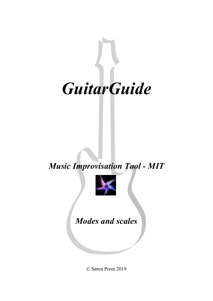

*Music Improvisation Tool - MIT*



*Modes and scales*

© Søren Prom 2019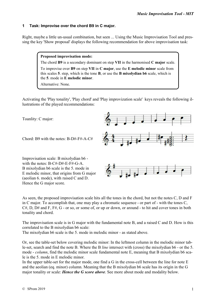### **1 Task: Improvise over the chord B9 in C major.**

Right, maybe a little un-usual combination, but seen ... Using the Music Improvisation Tool and pressing the key 'Show proposal' displays the following recommendation for above improvisation task:

### **Proposed improvisation mode:**

the **5**. mode in **E melodic minor**.

The chord **B9** is a secondary dominant on step **VII** in the harmonised **C major** scale. To improvise over **B9** on step **VII** in **C major**, use the **E melodic minor** scale from this scales **5**. step, which is the tone **B**, or use the **B mixolydian b6** scale, which is

Alternative: None.

Activating the 'Play tonality', 'Play chord' and 'Play improvization scale' keys reveals the following illustrations of the played recommendations:

Toanlity: C major:

Chord: B9 with the notes: B-D#-F#-A-C#

Improvisation scale: B mixolydian b6 with the notes: B-C#-D#-E-F#-G-A. B mixolydian b6 scale is the 5. mode in E melodic minor, that origins from G major (aeolian 6. mode), with raised C and D. Hence the G major score.



As seen, the proposed improvisation scale hits all the tones in the chord, but not the notes C, D and F in C major. To accomplish that, one may play a chromatic sequence - or part of - with the tones C,  $C#$ , D, D# and F, F#, G - or so, or some of, or up or down, or around - to hit and cover tones in both tonality and chord.

The improvisation scale is in G major with the fundamental note B, and a raised C and D. How is this correlated to the B mixolydian b6 scale:

The mixolydian b6 scale is the 5. mode in melodic minor - as stated above.

Or, see the table-set below covering melodic minor: In the leftmost column in the melodic minor table-set, search and find the note B. Where the B *line* intersect with (cross) the mixolydian b6 - or the 5. mode - *column*, find the melodic minor scale fundamental note E, meaning that B mixolydian b6 scale is the 5. mode in E melodic minor.

In the upper table-set for the major mode, one find a G in the cross-cell between the line for note E and the aeolian (eq. minor) column. Meaning that the B mixolydian b6 scale has its origin in the G major tonality or scale: *Hence the G score above*. See more about mode and modality below.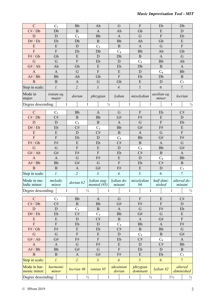| $\mathbf C$                  | $C_1$               |              | <b>Bb</b>                  |                           |                   | Ab                            |                                 | G                         | $\boldsymbol{\mathrm{F}}$ |                               | Eb                   |                      | Db                                   |                       |  |  |
|------------------------------|---------------------|--------------|----------------------------|---------------------------|-------------------|-------------------------------|---------------------------------|---------------------------|---------------------------|-------------------------------|----------------------|----------------------|--------------------------------------|-----------------------|--|--|
| C# / Db                      | Db                  |              | $\, {\bf B}$               |                           |                   | $\mathbf{A}$                  |                                 | Ab                        |                           | Gb                            | ${\bf E}$            |                      | $\mathbf D$                          |                       |  |  |
| D                            | $\mathbf D$         |              |                            | C <sub>2</sub>            |                   | <b>Bb</b>                     |                                 | $\mathbf{A}$              |                           | $\mathbf G$                   | $\mathbf F$          |                      | Eb                                   |                       |  |  |
| D# / Eb                      | Eb                  |              |                            | Db                        |                   | $\, {\bf B}$                  |                                 | <b>Bb</b>                 |                           | Ab                            | Gb                   |                      | ${\bf E}$                            |                       |  |  |
| E                            | ${\bf E}$           |              |                            | $\mathbf{D}$              |                   | $C_3$                         |                                 | $\mathbf{B}$              |                           | $\mathbf{A}$                  | G                    |                      | $\boldsymbol{\mathrm{F}}$            |                       |  |  |
| $\overline{F}$               | $\mathbf F$         |              |                            | Eb                        | Db                |                               | C <sub>4</sub>                  |                           | <b>Bb</b>                 |                               | Ab                   |                      |                                      | Gb                    |  |  |
| F# / Gb                      | Gb                  |              |                            | ${\bf E}$                 | $\mathbf D$       |                               | Db                              |                           | $\, {\bf B}$              |                               | $\mathbf{A}$         |                      | $\mathbf G$                          |                       |  |  |
| $\mathbf G$                  | $\mathbf G$         |              | $\boldsymbol{\mathrm{F}}$  |                           |                   | Eb                            |                                 | $\mathbf D$               | $C_5$                     |                               | <b>Bb</b>            |                      |                                      | Ab                    |  |  |
| G# / Ab                      | Ab                  |              |                            | Gb                        |                   | E                             |                                 | Eb                        |                           | Db                            |                      | $\, {\bf B}$         |                                      | $\mathbf{A}$          |  |  |
| $\mathbf{A}$                 | $\mathbf{A}$        |              |                            | $\mathbf G$               |                   | $\overline{F}$                |                                 | ${\bf E}$                 |                           | $\mathbf D$                   | $C_6$                |                      | Bb                                   |                       |  |  |
| A# / Bb                      | Bb                  |              | Ab                         |                           | Gb                |                               |                                 | $\boldsymbol{\mathrm{F}}$ | Eb                        |                               | Db                   |                      | $\, {\bf B}$                         |                       |  |  |
| $\overline{B}$               | $\, {\bf B}$        |              |                            | $\boldsymbol{\mathsf{A}}$ |                   | G                             | Gb                              |                           |                           | ${\bf E}$                     | $\mathbf D$          |                      |                                      | $C_7$                 |  |  |
| Step in scale:               | $\mathfrak{p}.$     |              |                            | 2.                        | $\mathfrak{Z}.$   |                               | 4.                              |                           |                           | 5.                            | 6.                   |                      | 7.                                   |                       |  |  |
| Mode in<br>major:            | ionian eq.<br>major |              |                            | dorian                    |                   | phrygian                      | lydian                          |                           |                           | mixolydian                    | aeolian eq.<br>minor |                      | locrian                              |                       |  |  |
| Degree descending:           |                     | $\mathbf{1}$ |                            | 1                         |                   |                               | $\frac{1}{2}$                   |                           | $\mathbf{1}$              |                               | 1                    |                      | $\frac{1}{2}$<br>1                   |                       |  |  |
|                              |                     |              |                            |                           |                   |                               |                                 |                           |                           |                               |                      |                      |                                      |                       |  |  |
| $\mathbf C$                  | C <sub>1</sub>      |              |                            | Bb                        |                   | $\mathbf{A}$                  |                                 | G                         |                           | ${\bf F}$                     | Eb                   |                      |                                      | $\mathrm{C}\#$        |  |  |
| C# / Db                      | C#                  |              |                            | $\mathbf B$               |                   | <b>Bb</b>                     |                                 | G#                        |                           | ${\rm F}\#$                   | E                    |                      | $\mathbf D$                          |                       |  |  |
| D                            | $\mathbf D$         |              |                            | C <sub>2</sub>            |                   | $\, {\bf B}$                  |                                 | $\mathbf{A}$              |                           | $\mathbf G$                   | $\rm F$              |                      | Eb                                   |                       |  |  |
| D# / Eb                      | Eb                  |              |                            | C#                        | $C_3$             |                               | <b>Bb</b>                       |                           | G#                        |                               | ${\rm F}\#$          |                      | ${\bf E}$<br>$\overline{\mathrm{F}}$ |                       |  |  |
| E                            | ${\bf E}$           |              | ${\bf D}$                  |                           | C#                |                               | $\mathbf B$                     |                           | $\mathbf{A}$              |                               | $\mathbf G$          |                      |                                      |                       |  |  |
| $\overline{F}$               | ${\bf F}$           |              | Eb                         |                           | $\mathbf D$<br>Eb |                               | C <sub>4</sub>                  |                           | Bb<br>$\, {\bf B}$        |                               | G#                   |                      | ${\rm F}\#$<br>$\mathbf G$           |                       |  |  |
| F# / Gb                      | F#                  |              | ${\bf E}$                  |                           | ${\bf E}$         |                               | C#<br>${\bf D}$                 |                           |                           |                               | $\mathbf{A}$         |                      | G#                                   |                       |  |  |
| $\mathbf G$                  | $\mathbf G$         |              | ${\bf F}$                  |                           | $\overline{F}$    |                               | Eb                              |                           |                           | $C_5$                         | <b>Bb</b>            |                      | $\mathbf A$                          |                       |  |  |
| G# / Ab                      | G#                  |              | ${\rm F}\#$<br>$\mathbf G$ |                           | ${\rm F}\#$       |                               | ${\bf E}$                       |                           | C#<br>D                   |                               | $\mathbf B$          |                      | <b>Bb</b>                            |                       |  |  |
| $\mathbf{A}$                 | $\mathbf{A}$        |              |                            |                           |                   |                               | $\overline{\mathrm{F}}$         |                           | Eb                        |                               | $C_6$<br>C#          |                      |                                      |                       |  |  |
| A# / Bb                      | <b>Bb</b>           |              | G#                         |                           | G<br>$G\#$        |                               |                                 |                           |                           |                               |                      |                      | $\, {\bf B}$<br>$\mathrm{C}_7$       |                       |  |  |
| $\overline{B}$               | $\, {\bf B}$        |              | $\boldsymbol{\mathsf{A}}$  |                           |                   |                               | ${\rm F}\#$<br>$\overline{4}$ . |                           | ${\bf E}$<br>5.           |                               | ${\bf D}$            |                      |                                      |                       |  |  |
| Step in scale:               | $\mathcal{I}$ .     |              | $\overline{2}$ .           |                           | $\overline{3}$ .  |                               |                                 |                           |                           |                               | 6.                   |                      |                                      | 7.                    |  |  |
| Mode in me-<br>lodic minor:  | melodic<br>minor    |              | dorian b2                  |                           |                   | lydian aug-<br>mented $(\#5)$ |                                 | lydian do-<br>minant      |                           | mixolydian<br>$b\overline{6}$ |                      | half dimi-<br>nished | minant                               | altered do-           |  |  |
|                              | Degree descending:  |              | 1                          | $\frac{1}{2}$             |                   | 1                             |                                 |                           | 1                         |                               | 1                    |                      | 1                                    | $\frac{1}{2}$         |  |  |
|                              |                     |              |                            |                           |                   |                               |                                 |                           |                           |                               |                      |                      |                                      |                       |  |  |
| $\mathcal{C}$                | $C_1$               |              |                            | <b>Bb</b>                 |                   | A                             | G<br>G#                         |                           |                           | $\overline{F}$                | E                    |                      | C#                                   |                       |  |  |
| C# / Db                      | C#                  |              |                            | $\mathbf{B}$              |                   | <b>Bb</b>                     |                                 |                           |                           | F#                            | $\overline{F}$       |                      | D                                    |                       |  |  |
| D<br>D# / Eb                 | D                   |              |                            | C <sub>2</sub><br>C#      |                   | B                             |                                 | $\mathbf{A}$              |                           | G<br>G#                       | F#<br>$\mathbf G$    |                      | Eb<br>${\bf E}$                      |                       |  |  |
| E                            | Eb<br>${\bf E}$     |              |                            |                           |                   | $C_3$<br>C#                   | <b>Bb</b>                       |                           |                           |                               | G#                   |                      |                                      |                       |  |  |
| $\overline{F}$               | ${\bf F}$           |              | $\mathbf D$                |                           |                   |                               | $\bf{B}$                        |                           | $\mathbf{A}$              |                               |                      |                      | $\overline{F}$                       |                       |  |  |
| F# / Gb                      | ${\rm F}\#$         |              | Eb<br>${\bf E}$            |                           | D                 |                               | C <sub>4</sub>                  |                           | <b>Bb</b>                 |                               | A<br><b>Bb</b>       |                      | F#<br>$\mathbf G$                    |                       |  |  |
| G                            | $\mathbf G$         |              |                            | ${\bf F}$                 | Eb                |                               | C#                              |                           | $\, {\bf B}$<br>$C_5$     |                               |                      |                      |                                      | G#                    |  |  |
| G# / Ab                      | G#                  |              |                            | ${\rm F}\#$               | E                 |                               | D<br>Eb                         |                           |                           | C#                            |                      | $\bf{B}$             |                                      |                       |  |  |
| $\mathbf{A}$                 | $\mathbf{A}$        |              |                            |                           | $\overline{F}$    |                               |                                 |                           |                           |                               | $C_6$                |                      | $\mathbf{A}$                         |                       |  |  |
| A# / Bb                      | <b>Bb</b>           |              | $\mathbf G$                |                           | ${\rm F}\#$       |                               | ${\bf E}$                       |                           | D<br>Eb                   |                               | C#<br>D              |                      | <b>Bb</b>                            |                       |  |  |
| $\mathbf B$                  | $\mathbf{B}$        |              | G#                         |                           | $\mathbf G$<br>G# |                               | $\overline{F}$<br>F#            |                           |                           | E                             | Eb                   |                      | $\mathbf{B}$<br>$C_7$                |                       |  |  |
|                              |                     |              | $\mathbf{A}$<br>2.         |                           |                   |                               |                                 |                           |                           |                               |                      |                      |                                      |                       |  |  |
| Step in scale:               | $\mathcal{I}$ .     |              |                            |                           |                   | 3.                            |                                 | $\overline{4}$ .          |                           | 5.                            |                      | 6.                   |                                      | 7.                    |  |  |
| Mode in har-<br>monic minor: | harmonic<br>minor   |              | $locrian$ #6               |                           |                   | $ionian$ #5                   |                                 | ukrainian<br>dorian       |                           | phrygian<br>dominant          | $l$ <i>ydian</i> #2  |                      |                                      | altered<br>diminished |  |  |
|                              | Degree descending:  |              | $\mathbf{1}$               |                           | $\frac{1}{2}$     | $\mathbf{1}$                  |                                 |                           | $\mathbf{1}$              |                               | $\frac{1}{2}$        | $1\frac{1}{2}$       | $\frac{1}{2}$                        |                       |  |  |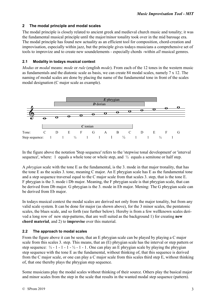### **2 The modal principle and modal scales**

The modal principle is closely related to ancient greek and medieval church music and tonality; it was the fundamental musical principle until the major/minor tonality took over in the mid barouqe era. The modal principle has found new actuality as an efficient tool for composition, chord-creation and improvisation, especially within jazz, but the principle gives todays musicians a comprehensive set of tools to improvize and to create new soundelements - especially chords -within *all* musical gemres.

### **2.1 Modality in todays musical context**

*Modus* or *modal* means: *mode* or *rule* (english *mode*). From each of the 12 tones in the western music as fundamentals and the diatonic scale as basis, we can create 84 modal scales, namely 7 x 12. The naming of modal scales are done by placing the name of the fundamental tone in front of the scales modal designation (C major scale as example).



In the figure above the notation 'Step sequence' refers to the 'stepwise tonal development' or 'interval sequence', where: 1 equals a whole tone or whole step, and  $\frac{1}{2}$  equals a semitone or half step.

A *phrygian* scale with the tone E as the fundamental, is the 3. mode in that major tronality, that has the tone E as the scales 3. tone, meaning C major. An E phrygian scale has E as the fundamental tone and a step sequence traversal equal to the C major scale from that scales 3. step, that is the tone E. F phrygian is the 3. mode i Db major. Meaning, the F phrygian scale is that phrygian scale, that can be derived from Db major. G phrygian is the 3. mode in Eb major. Mening: The G phrygian scale can be derived from Eb major.

In todays musical context the modal scales are derived not only from the major tonality, but from any valid scale system. It can be done for major (as shown above), for the 3 minor scales, the pentatonic scales, the blues scale, and so forth (see further below). Hereby is from a few wellknown scales derived a long row of new step-patterns, that are well suited as the background 1) for creating **new chord material**, and 2) to **improvise** over this material.

### **2.2 The approach to modal scales**

From the figure above it can be seen, that an E phrygian scale can be played by playing a C major scale from this scales 3. step. This means, that an (E) phrygian scale has the interval or step pattern or step sequence:  $\frac{1}{2}$  - 1 - 1 -  $\frac{1}{2}$  - 1 - 1. One can play an E phrygian scale by playing the phrygian step sequence with the tone E as the fundamental, without thinking of, that this sequence is derived from the C major scale, or one can play a C major scale from this scales third step E, without thinking of, that one thereby plays the phrygian step sequence.

Some musicians play the modal scales without thinking of their source. Others play the basical major and minor scales from the step in the scale that results in the wanted modal step sequence (pattern).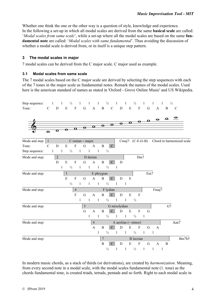Whether one think the one or the other way is a question of style, knowledge and experience. In the following a set-up in which all modal scales are derived from the same **basical scale** are called: '*Modal scales from same scale*', while a set-up where all the modal scales are based on the same **fundamental note** are called: '*Modal scales with same fundamental*'. Thus avoiding the discussion of whether a modal scale is derived from, or in itself is a unique step pattern.

### **3 The modal scales in major**

7 modal scales can be derived from the C major scale. C major used as example.

### **3.1 Modal scales from same scale**

The 7 modal scales based on the C major scale are derived by selecting the step sequences with each of the 7 tones in the major scale as fundamental notes. Remark the names of the modal scales. Used here is the american standard of names as stated in 'Oxford - Grove Online Music' and US Wikipedia.



In modern music chords, as a stack of thirds (or derivations), are created by *harmonization*. Meaning, from every second note in a modal scale, with the modal scales fundamental note (1. tone) as the chords fundamental tone, is created triads, tetrads, pentads and so forth. Right to each modal scale in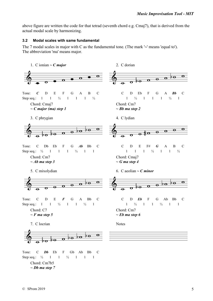above figure are written the code for that tetrad (seventh chord e.g. Cmaj7), that is derived from the actual modal scale by harmonizing.

#### **3.2 Modal scales with same fundamental**

The 7 modal scales in major with C as the fundamental tone. (The mark '**~**' means 'equal to'). The abbreviation 'ma' means major.



Step seq.:  $\frac{1}{2}$  1 1  $\frac{1}{2}$  1 1 1

Chord: Cm7b5 *~ Db ma step 7*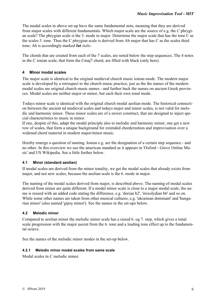The modal scales in above set-up have the same fundamental note, meaning that they are derived from major scales with different fundamentals. Which major scale are the source of e.g. the *C* phrygian scale? The phrygian scale is the 3. mode in major. Determine the major scale that has the tone C as the scales 3. tone. Thus the C phrygian scale is derived from Ab major that has C as the scales third tone; Ab is accordingly marked **fat** *italic*.

The chords that are created from each of the 7 scales, are noted below the step sequences. The 4 notes in the C ionian scale, that form the Cmaj7 chord, are filled with black (only here).

# **4 Minor modal scales**

The major scale is identical to the original medieval church music ionian mode. The modern major scale is developed by a retrospect to the church music practice, just as the the names of the modern modal scales are original church music names - and further back the names on ancient Greek provinces. Modal scales are neither major or minor, but each their own tonal mode.

Todays minor scale is identical with the original church modal aeolian mode. The historical connection between the ancient nd medieval scales and todays major and minor scales, is not valid for melodic and harmonic minor. These minor scales are of a newer construct, that are designed to inject special characteristics to music in minor.

If one, despite of this, adapt the modal principle also to melodic and harmonic minor, one get a new row of scales, that form a unique background for extended chordcreation and improvisation over a widened chord material in modern major/minor music.

Hereby emerge a question of naming. Ionian e.g. are the designation of a certain step sequence - and no other. In this overview we use the american standard as it appears in 'Oxford - Grove Online Music' and US Wikipedia. See a little further below.

# **4.1 Minor (standard aeolian)**

If modal scales are derived from the minor tonality, we get the modal scales that already exists from major, and not new scales, because the aeolian scale is the 6. mode in major.

The naming of the modal scales derived from major, is described above. The naming of modal scales derived from minor are quite different. If a modal minor scale is close to a major modal scale, the name is reused with an added code stating the difference, e.g. 'dorian b2', 'mixolydian b6' and so on. While some other names are taken from other musical cultures, e.g. 'ukrainian dominant' and 'hungarian minor' (also named 'gipsy minor'). See the names in the set-ups below.

# **4.2 Melodic minor**

Compared to aeolian minor the melodic minor scale has a raised 6. og 7. step, which gives a tonal scale progression with the major ascent from the 6. tone and a leading tone effect up to the fundamental octave.

See the names of the melodic minor modes in the set-up below.

### **4.2.1 Melodic minor modal scales from same scale**

Modal scales in C melodic minor.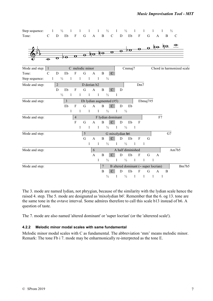Step sequence: 1  $\frac{1}{2}$  1 1 1 1  $\frac{1}{2}$  1  $\frac{1}{2}$  1  $\frac{1}{2}$  1 1 1  $\frac{1}{2}$ Tone: C D Eb F G A B C D Eb F G A B C

|                  |                      |                  |                |              |                         |                         |                |                |                 |                             |                |             |                                      |                          |                |              |                |    |    | $\frac{1}{\sqrt{2}}$ bo e o to to $\frac{1}{\sqrt{2}}$ |                           |
|------------------|----------------------|------------------|----------------|--------------|-------------------------|-------------------------|----------------|----------------|-----------------|-----------------------------|----------------|-------------|--------------------------------------|--------------------------|----------------|--------------|----------------|----|----|--------------------------------------------------------|---------------------------|
|                  |                      |                  |                |              | $\overline{\mathbf{o}}$ | $\overline{\mathbf{e}}$ |                |                |                 | $\frac{10}{10}$             |                |             |                                      |                          |                |              |                |    |    |                                                        |                           |
|                  | $\overline{\bullet}$ | $\mathbf \sigma$ | <del>ΡΟ</del>  |              |                         |                         |                |                |                 |                             |                |             |                                      |                          |                |              |                |    |    |                                                        |                           |
| Mode and step: 1 |                      |                  |                |              |                         | C melodic minor         |                |                |                 |                             |                |             | Cmmaj7                               |                          |                |              |                |    |    |                                                        | Chord in harmonized scale |
| Tone:            | $\mathbf C$          | D                | Eb             |              | F                       | G                       |                | A              | B               | $\mathbf C$                 |                |             |                                      |                          |                |              |                |    |    |                                                        |                           |
| Step sequence:   | $\mathbf{1}$         |                  | $\frac{1}{2}$  | $\mathbf{1}$ |                         | $\mathbf{1}$            | $\overline{1}$ | $\overline{1}$ |                 | $\frac{1}{2}$               |                |             |                                      |                          |                |              |                |    |    |                                                        |                           |
| Mode and step:   |                      | $\overline{2}$   |                |              |                         |                         |                | D dorian b2    |                 |                             |                |             |                                      |                          | Dm7            |              |                |    |    |                                                        |                           |
|                  |                      | D                | Eb             |              | $\mathbf{F}$            | $\mathbf G$             |                | $\mathbf{A}$   | $\bf{B}$        | $\mathcal{C}$               |                | D           |                                      |                          |                |              |                |    |    |                                                        |                           |
|                  |                      |                  | $\frac{1}{2}$  | $\mathbf{1}$ |                         | $\mathbf{1}$            | $\mathbf{1}$   | $\mathbf{1}$   |                 | $\frac{1}{2}$               | $\blacksquare$ |             |                                      |                          |                |              |                |    |    |                                                        |                           |
| Mode and step:   |                      |                  | $\mathfrak{Z}$ |              |                         |                         |                |                |                 | Eb lydian augmented $(\#5)$ |                |             |                                      |                          |                | Ebmaj7#5     |                |    |    |                                                        |                           |
|                  |                      |                  | Eb             |              | $\mathbf{F}$            | G                       |                | $\mathbf{A}$   | B               | $\mathbf C$                 |                | $\mathbf D$ | Eb                                   |                          |                |              |                |    |    |                                                        |                           |
|                  |                      |                  |                | $\mathbf{1}$ |                         | $\mathbf{1}$            | $\mathbf{1}$   | $\overline{1}$ |                 | $\frac{1}{2}$               | $\mathbf{1}$   |             | $\frac{1}{2}$                        |                          |                |              |                |    |    |                                                        |                           |
| Mode and step:   |                      |                  |                |              | $\overline{4}$          |                         |                |                |                 | F lydian dominant           |                |             |                                      |                          |                |              |                | F7 |    |                                                        |                           |
|                  |                      |                  |                |              | $\mathbf{F}$            | G                       |                | $\mathbf{A}$   | $\, {\bf B}$    | $\mathcal{C}$               |                | D           | Eb                                   |                          | F              |              |                |    |    |                                                        |                           |
|                  |                      |                  |                |              |                         | 1                       | $\mathbf{1}$   | $\mathbf{1}$   |                 | $\frac{1}{2}$               | $\blacksquare$ |             | $\frac{1}{2}$                        | $\overline{\phantom{0}}$ |                |              |                |    |    |                                                        |                           |
| Mode and step:   |                      |                  |                |              |                         | $\sqrt{5}$              |                |                |                 | G mixolydian b6             |                |             |                                      |                          |                |              |                |    | G7 |                                                        |                           |
|                  |                      |                  |                |              |                         | G                       |                | $\mathbf{A}$   | B               | $\mathbf C$                 |                | $\mathbf D$ | Eb                                   |                          | ${\bf F}$      | G            |                |    |    |                                                        |                           |
|                  |                      |                  |                |              |                         |                         | $\mathbf{1}$   | $\mathbf{1}$   |                 | $\frac{1}{2}$               | $\mathbf{1}$   |             | $\frac{1}{2}$                        | $\overline{1}$           | $\blacksquare$ |              |                |    |    |                                                        |                           |
| Mode and step:   |                      |                  |                |              |                         |                         |                | 6              |                 |                             |                |             | A half diminished                    |                          |                |              |                |    |    | Am7b5                                                  |                           |
|                  |                      |                  |                |              |                         |                         |                | $\mathbf{A}$   | B               | $\mathbf{C}$                |                | D           | Eb                                   |                          | $\mathbf F$    | G            |                | A  |    |                                                        |                           |
|                  |                      |                  |                |              |                         |                         |                | 1              |                 | $\frac{1}{2}$               | $\mathbf{1}$   |             | $\frac{1}{2}$                        | $\mathbf{1}$             |                | $\mathbf{1}$ | $\blacksquare$ |    |    |                                                        |                           |
| Mode and step:   |                      |                  |                |              |                         |                         |                |                | $7\phantom{.0}$ |                             |                |             | B altered dominant (~ super locrian) |                          |                |              |                |    |    |                                                        | Bm7b5                     |
|                  |                      |                  |                |              |                         |                         |                |                | B               | $\mathcal{C}$               |                | D           | Eb                                   |                          | F              | G            |                | A  | B  |                                                        |                           |
|                  |                      |                  |                |              |                         |                         |                |                |                 | $\frac{1}{2}$               | $\mathbf{1}$   |             | $\frac{1}{2}$                        | $\mathbf{1}$             |                | $\mathbf{1}$ | $\mathbf{1}$   | -1 |    |                                                        |                           |

The 3. mode are named lydian, not phrygian, because of the similarity with the lydian scale hence the raised 4. step. The 5. mode are designated as 'mixolydian b6'. Remember that the 6. og 13. tone are the same tone in the ovtave interval. Some admires therefore to call this scale b13 instead of b6. A question of taste.

The 7. mode are also named 'altered dominant' or 'super locrian' (or the 'alterered scale').

### **4.2.2 Melodic minor modal scales with same fundamental**

Melodic minor modal scales with C as fundamental. The abbreviation 'mm' means melodic minor. Remark: The tone Fb i 7. mode may be enharmonically re-interpreted as the tone E.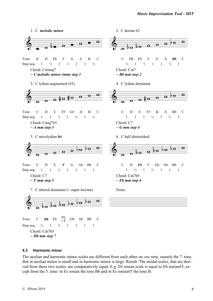

Chord: Cm7b5 *~ Db mm step 7*

### **4.3 Harmonic minor**

The aeolian and harmonic minor scales are different from each other on *one* note, namely the 7. tone, that in aeolian minor is small and in harmonic minor is large. Result: The modal scales, that are derived from these two scales, are comparatively equal. E.g. Eb ionian scale is equal to Eb ionian#5, except from the 5. tone: in Es ionian the tone Bb and in Es ionian#5 the tone B.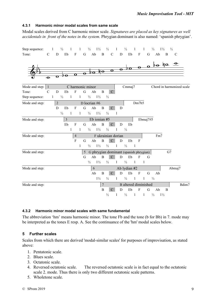#### **4.3.1 Harmonic minor modal scales from same scale**

Modal scales derived from C harmonic minor scale. *Signatures are placed as key signatures as well accidentals in front of the notes in the system*. Phrygian dominant is also named: 'spanish phrygian'.

| Step sequence:   |                      | 1                       | $\frac{1}{2}$  | $\mathbf{1}$              | $\mathbf{1}$ | $\frac{1}{2}$    | $1\frac{1}{2}$                           | $\frac{1}{2}$      |                | $\mathbf{1}$      | $\frac{1}{2}$                             | $\mathbf{1}$ | $\mathbf{1}$              |             | $\frac{1}{2}$       | $1\frac{1}{2}$      | $\frac{1}{2}$                                                                                                                                                                                                                                                                                                                                                                                                                     |                           |
|------------------|----------------------|-------------------------|----------------|---------------------------|--------------|------------------|------------------------------------------|--------------------|----------------|-------------------|-------------------------------------------|--------------|---------------------------|-------------|---------------------|---------------------|-----------------------------------------------------------------------------------------------------------------------------------------------------------------------------------------------------------------------------------------------------------------------------------------------------------------------------------------------------------------------------------------------------------------------------------|---------------------------|
| Tone:            | $\mathcal{C}$        | ${\bf D}$               | Eb             | $\boldsymbol{\mathrm{F}}$ |              | G                | Ab<br>$\mathbf B$                        |                    | $\mathbf C$    | D                 | Eb                                        |              | $\boldsymbol{\mathrm{F}}$ | G           | Ab                  | B                   | $\mathbf C$                                                                                                                                                                                                                                                                                                                                                                                                                       |                           |
|                  | $\overline{\bullet}$ | $\overline{\mathbf{o}}$ | ♭o             | $\overline{\mathbf{o}}$   |              |                  |                                          |                    |                |                   |                                           |              |                           |             |                     |                     | $\frac{1}{\frac{1}{\frac{1}{\sqrt{1-\frac{1}{\sqrt{1-\frac{1}{\sqrt{1-\frac{1}{\sqrt{1-\frac{1}{\sqrt{1-\frac{1}{\sqrt{1-\frac{1}{\sqrt{1-\frac{1}{\sqrt{1-\frac{1}{\sqrt{1-\frac{1}{\sqrt{1-\frac{1}{\sqrt{1-\frac{1}{\sqrt{1-\frac{1}{\sqrt{1-\frac{1}{\sqrt{1-\frac{1}{\sqrt{1-\frac{1}{\sqrt{1-\frac{1}{\sqrt{1-\frac{1}{\sqrt{1-\frac{1}{\sqrt{1-\frac{1}{\sqrt{1-\frac{1}{\sqrt{1-\frac{1}{\sqrt{1-\frac{1}{\sqrt{1-\frac{$ |                           |
| Mode and step: 1 |                      |                         |                |                           |              | C harmonic minor |                                          |                    |                |                   | Cmmaj7                                    |              |                           |             |                     |                     |                                                                                                                                                                                                                                                                                                                                                                                                                                   | Chord in harmonized scale |
| Tone:            | $\mathsf{C}$         | D                       | Eb             | ${\bf F}$                 |              | G                | Ab                                       | $\mathbf B$        | $\mathbf C$    |                   |                                           |              |                           |             |                     |                     |                                                                                                                                                                                                                                                                                                                                                                                                                                   |                           |
| Step sequence:   | $\,1$                |                         | $\frac{1}{2}$  | $\mathbf{1}$              | $1 -$        | $\frac{1}{2}$    | $1\frac{1}{2}$                           | $\frac{1}{2}$      |                |                   |                                           |              |                           |             |                     |                     |                                                                                                                                                                                                                                                                                                                                                                                                                                   |                           |
| Mode and step:   |                      | $\sqrt{2}$              |                |                           |              | D locrian #6     |                                          |                    |                |                   | Dm7b5                                     |              |                           |             |                     |                     |                                                                                                                                                                                                                                                                                                                                                                                                                                   |                           |
|                  |                      | D                       | Eb             | $\mathbf{F}$              |              | $\mathbf G$      | Ab                                       | $\bf{B}$           | $\mathbf{C}$   | D                 |                                           |              |                           |             |                     |                     |                                                                                                                                                                                                                                                                                                                                                                                                                                   |                           |
|                  |                      |                         | $\frac{1}{2}$  | $\mathbf{1}$              | $\mathbf{1}$ |                  | $\frac{1}{2}$ $\frac{1}{2}$              | $\frac{1}{2}$      | $\overline{1}$ |                   |                                           |              |                           |             |                     |                     |                                                                                                                                                                                                                                                                                                                                                                                                                                   |                           |
| Mode and step:   |                      |                         | $\mathfrak{Z}$ |                           |              |                  | Eb ionian #5                             |                    |                |                   |                                           |              | Ebmaj7#5                  |             |                     |                     |                                                                                                                                                                                                                                                                                                                                                                                                                                   |                           |
|                  |                      |                         | Eb             | $\mathbf{F}$              |              | G                | Ab                                       | $\, {\bf B}$       | $\mathbf{C}$   | D                 | Eb                                        |              |                           |             |                     |                     |                                                                                                                                                                                                                                                                                                                                                                                                                                   |                           |
|                  |                      |                         |                | $\mathbf{1}$              | $\mathbf{1}$ |                  | $\frac{1}{2}$ $\frac{1}{2}$              | $\frac{1}{2}$      |                | $\mathbf{1}$      | $\frac{1}{2}$                             |              |                           |             |                     |                     |                                                                                                                                                                                                                                                                                                                                                                                                                                   |                           |
| Mode and step:   |                      |                         |                | $\overline{4}$            |              |                  | F ukrainian dorian                       |                    |                |                   |                                           |              |                           |             | Fm7                 |                     |                                                                                                                                                                                                                                                                                                                                                                                                                                   |                           |
|                  |                      |                         |                | $\rm F$                   |              | $\mathbf G$      | Ab                                       | $\, {\bf B}$       | $\mathcal{C}$  | $\mathbf D$       | Eb                                        |              | $\rm F$                   |             |                     |                     |                                                                                                                                                                                                                                                                                                                                                                                                                                   |                           |
|                  |                      |                         |                |                           | $\mathbf{1}$ | $\frac{1}{2}$    | $1\frac{1}{2}$                           | $\frac{1}{2}$      | $\blacksquare$ |                   | $\frac{1}{2}$<br>$\overline{\phantom{0}}$ |              |                           |             |                     |                     |                                                                                                                                                                                                                                                                                                                                                                                                                                   |                           |
| Mode and step:   |                      |                         |                |                           |              |                  | 5 G phrygian dominant (spanish phrygian) |                    |                |                   |                                           |              |                           |             |                     |                     | G7                                                                                                                                                                                                                                                                                                                                                                                                                                |                           |
|                  |                      |                         |                |                           |              | $\mathbf G$      | Ab<br>$\bf{B}$                           |                    | $\mathbf{C}$   | D                 | Eb                                        |              | $\overline{F}$            | G           |                     |                     |                                                                                                                                                                                                                                                                                                                                                                                                                                   |                           |
|                  |                      |                         |                |                           |              | $\frac{1}{2}$    | $1\frac{1}{2}$                           | $\frac{1}{2}$      |                | $\mathbf{1}$      | $\frac{1}{2}$                             | $\mathbf{1}$ | $\mathbf{1}$              |             |                     |                     |                                                                                                                                                                                                                                                                                                                                                                                                                                   |                           |
| Mode and step:   |                      |                         |                |                           |              |                  | 6                                        |                    |                |                   | Ab lydian #2                              |              |                           |             |                     |                     | Abmaj7                                                                                                                                                                                                                                                                                                                                                                                                                            |                           |
|                  |                      |                         |                |                           |              |                  | Ab<br>$1\frac{1}{2}$                     | $\mathbf B$        | $\mathbf{C}$   | ${\bf D}$         | Eb                                        |              | $\mathbf F$               | $\mathbf G$ | Ab                  |                     |                                                                                                                                                                                                                                                                                                                                                                                                                                   |                           |
|                  |                      |                         |                |                           |              |                  |                                          | $\frac{1}{2}$      |                | $\mathbf{1}$      |                                           |              |                           |             |                     |                     |                                                                                                                                                                                                                                                                                                                                                                                                                                   |                           |
| Mode and step:   |                      |                         |                |                           |              |                  |                                          | $\overline{7}$     |                |                   | <b>B</b> altered diminished               |              |                           |             |                     |                     |                                                                                                                                                                                                                                                                                                                                                                                                                                   | Bdim7                     |
|                  |                      |                         |                |                           |              |                  |                                          | B<br>$\frac{1}{2}$ | $\mathbf{C}$   | D<br>$\mathbf{1}$ | Eb<br>$\frac{1}{2}$                       | $\mathbf{1}$ | F<br>$\mathbf{1}$         | G           | Ab<br>$\frac{1}{2}$ | B<br>$1\frac{1}{2}$ |                                                                                                                                                                                                                                                                                                                                                                                                                                   |                           |
|                  |                      |                         |                |                           |              |                  |                                          |                    |                |                   |                                           |              |                           |             |                     |                     |                                                                                                                                                                                                                                                                                                                                                                                                                                   |                           |

#### **4.3.2 Harmonic minor modal scales with same fundamental**

The abbreviation 'hm' means harmonic minor. The tone Fb and the tone (b for Bb) in 7. mode may be interpreted as the tones E resp. A. See the continuance of the 'hm' modal scales below.

### **5 Further scales**

Scales from which there are derived 'modal-similar scales' for purposes of improvisation, as stated above:

- 1. Pentatonic scale.
- 2. Blues scale.
- 3. Octatonic scale.
- 4. Reversed octatonic scale. The reversed octatonic scale is in fact equal to the octatonic scale 2. mode. Thus there is only two different octatonic scale patterns.
- 5. Wholetone scale.